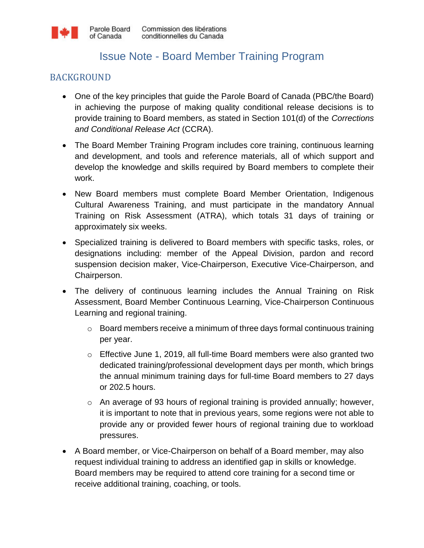## Issue Note - Board Member Training Program

## BACKGROUND

- One of the key principles that guide the Parole Board of Canada (PBC/the Board) in achieving the purpose of making quality conditional release decisions is to provide training to Board members, as stated in Section 101(d) of the *Corrections and Conditional Release Act* (CCRA).
- The Board Member Training Program includes core training, continuous learning and development, and tools and reference materials, all of which support and develop the knowledge and skills required by Board members to complete their work.
- New Board members must complete Board Member Orientation, Indigenous Cultural Awareness Training, and must participate in the mandatory Annual Training on Risk Assessment (ATRA), which totals 31 days of training or approximately six weeks.
- Specialized training is delivered to Board members with specific tasks, roles, or designations including: member of the Appeal Division, pardon and record suspension decision maker, Vice-Chairperson, Executive Vice-Chairperson, and Chairperson.
- The delivery of continuous learning includes the Annual Training on Risk Assessment, Board Member Continuous Learning, Vice-Chairperson Continuous Learning and regional training.
	- o Board members receive a minimum of three days formal continuous training per year.
	- o Effective June 1, 2019, all full-time Board members were also granted two dedicated training/professional development days per month, which brings the annual minimum training days for full-time Board members to 27 days or 202.5 hours.
	- o An average of 93 hours of regional training is provided annually; however, it is important to note that in previous years, some regions were not able to provide any or provided fewer hours of regional training due to workload pressures.
- A Board member, or Vice-Chairperson on behalf of a Board member, may also request individual training to address an identified gap in skills or knowledge. Board members may be required to attend core training for a second time or receive additional training, coaching, or tools.